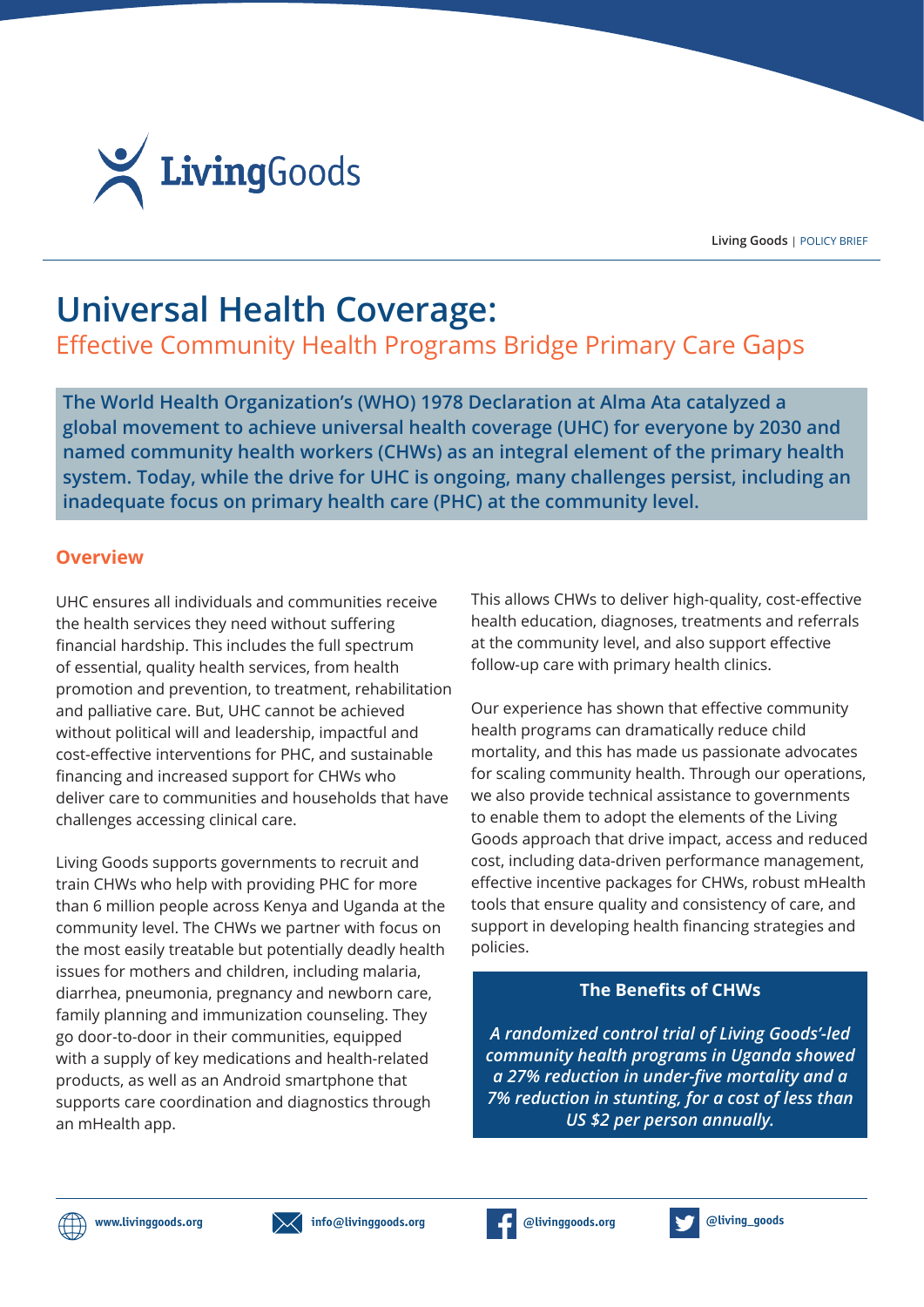

**Living Goods** | POLICY BRIEF

# **Universal Health Coverage:**

Effective Community Health Programs Bridge Primary Care Gaps

**The World Health Organization's (WHO) 1978 Declaration at Alma Ata catalyzed a global movement to achieve universal health coverage (UHC) for everyone by 2030 and named community health workers (CHWs) as an integral element of the primary health system. Today, while the drive for UHC is ongoing, many challenges persist, including an inadequate focus on primary health care (PHC) at the community level.**

## **Overview**

UHC ensures all individuals and communities receive the health services they need without suffering financial hardship. This includes the full spectrum of essential, quality health services, from health promotion and prevention, to treatment, rehabilitation and palliative care. But, UHC cannot be achieved without political will and leadership, impactful and cost-effective interventions for PHC, and sustainable financing and increased support for CHWs who deliver care to communities and households that have challenges accessing clinical care.

Living Goods supports governments to recruit and train CHWs who help with providing PHC for more than 6 million people across Kenya and Uganda at the community level. The CHWs we partner with focus on the most easily treatable but potentially deadly health issues for mothers and children, including malaria, diarrhea, pneumonia, pregnancy and newborn care, family planning and immunization counseling. They go door-to-door in their communities, equipped with a supply of key medications and health-related products, as well as an Android smartphone that supports care coordination and diagnostics through an mHealth app.

This allows CHWs to deliver high-quality, cost-effective health education, diagnoses, treatments and referrals at the community level, and also support effective follow-up care with primary health clinics.

Our experience has shown that effective community health programs can dramatically reduce child mortality, and this has made us passionate advocates for scaling community health. Through our operations, we also provide technical assistance to governments to enable them to adopt the elements of the Living Goods approach that drive impact, access and reduced cost, including data-driven performance management, effective incentive packages for CHWs, robust mHealth tools that ensure quality and consistency of care, and support in developing health financing strategies and policies.

## **The Benefits of CHWs**

*A randomized control trial of Living Goods'-led community health programs in Uganda showed a 27% reduction in under-five mortality and a 7% reduction in stunting, for a cost of less than US \$2 per person annually.*





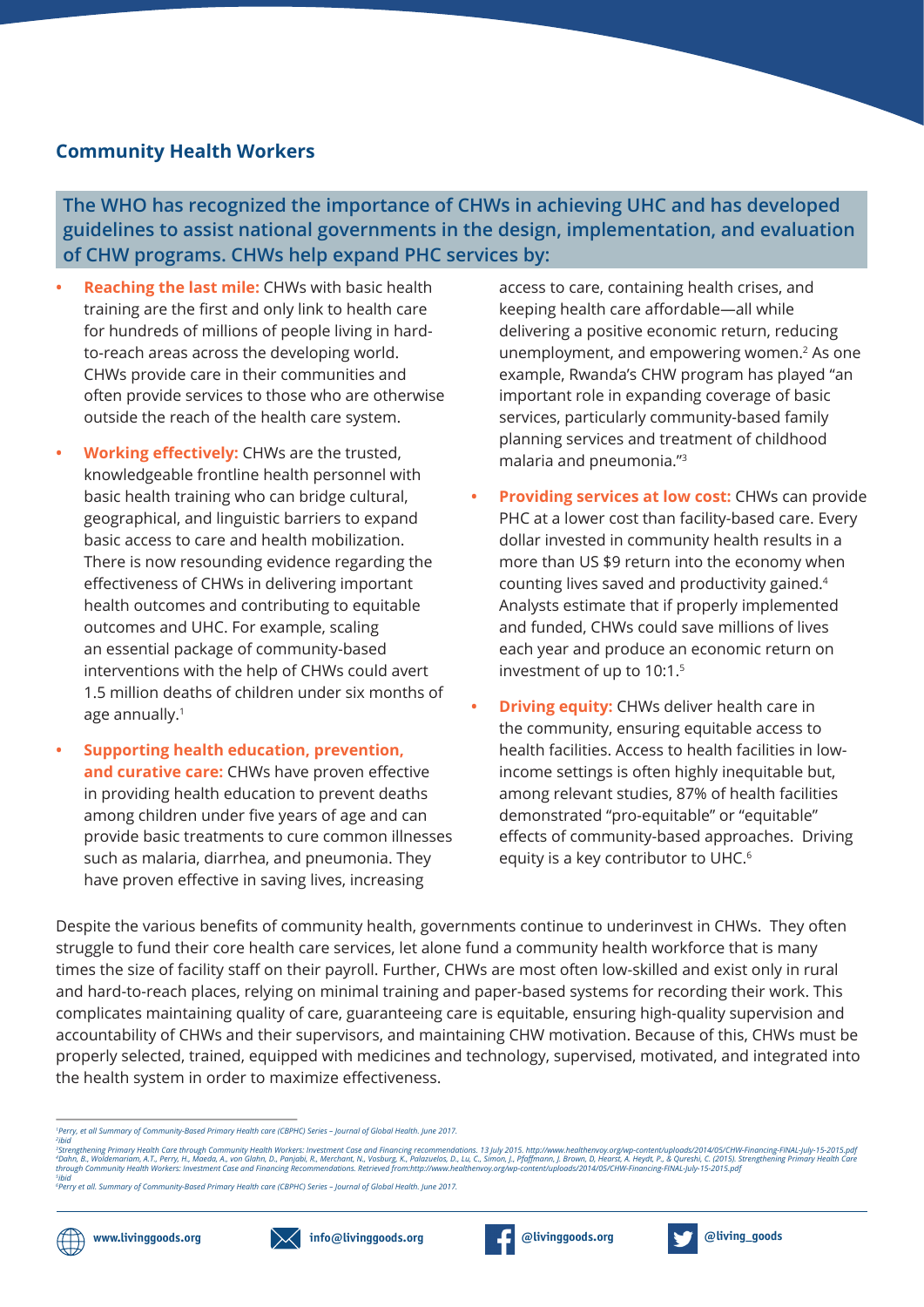#### **Community Health Workers**

**The WHO has recognized the importance of CHWs in achieving UHC and has developed guidelines to assist national governments in the design, implementation, and evaluation of CHW programs. CHWs help expand PHC services by:**

- **• Reaching the last mile:** CHWs with basic health training are the first and only link to health care for hundreds of millions of people living in hardto-reach areas across the developing world. CHWs provide care in their communities and often provide services to those who are otherwise outside the reach of the health care system.
- **• Working effectively:** CHWs are the trusted, knowledgeable frontline health personnel with basic health training who can bridge cultural, geographical, and linguistic barriers to expand basic access to care and health mobilization. There is now resounding evidence regarding the effectiveness of CHWs in delivering important health outcomes and contributing to equitable outcomes and UHC. For example, scaling an essential package of community-based interventions with the help of CHWs could avert 1.5 million deaths of children under six months of age annually.1
- **• Supporting health education, prevention, and curative care:** CHWs have proven effective in providing health education to prevent deaths among children under five years of age and can provide basic treatments to cure common illnesses such as malaria, diarrhea, and pneumonia. They have proven effective in saving lives, increasing

access to care, containing health crises, and keeping health care affordable—all while delivering a positive economic return, reducing unemployment, and empowering women.<sup>2</sup> As one example, Rwanda's CHW program has played "an important role in expanding coverage of basic services, particularly community-based family planning services and treatment of childhood malaria and pneumonia."3

- **• Providing services at low cost:** CHWs can provide PHC at a lower cost than facility-based care. Every dollar invested in community health results in a more than US \$9 return into the economy when counting lives saved and productivity gained.<sup>4</sup> Analysts estimate that if properly implemented and funded, CHWs could save millions of lives each year and produce an economic return on investment of up to 10:1.5
- **Driving equity:** CHWs deliver health care in the community, ensuring equitable access to health facilities. Access to health facilities in lowincome settings is often highly inequitable but, among relevant studies, 87% of health facilities demonstrated "pro-equitable" or "equitable" effects of community-based approaches. Driving equity is a key contributor to UHC.<sup>6</sup>

Despite the various benefits of community health, governments continue to underinvest in CHWs. They often struggle to fund their core health care services, let alone fund a community health workforce that is many times the size of facility staff on their payroll. Further, CHWs are most often low-skilled and exist only in rural and hard-to-reach places, relying on minimal training and paper-based systems for recording their work. This complicates maintaining quality of care, guaranteeing care is equitable, ensuring high-quality supervision and accountability of CHWs and their supervisors, and maintaining CHW motivation. Because of this, CHWs must be properly selected, trained, equipped with medicines and technology, supervised, motivated, and integrated into the health system in order to maximize effectiveness.

<sup>,</sup>ibid<br>Strengthening Primary Health Care through Community Health Workers: Investment Case and Financing recommendations. 13 July 2015. http://www.healthenvoy.org/wp-content/uploads/2014/05/CHW-Financing-FINAL-July-15-201







*<sup>1</sup> Perry, et all Summary of Community-Based Primary Health care (CBPHC) Series – Journal of Global Health. June 2017.*

*<sup>6</sup> Perry et all. Summary of Community-Based Primary Health care (CBPHC) Series – Journal of Global Health. June 2017.*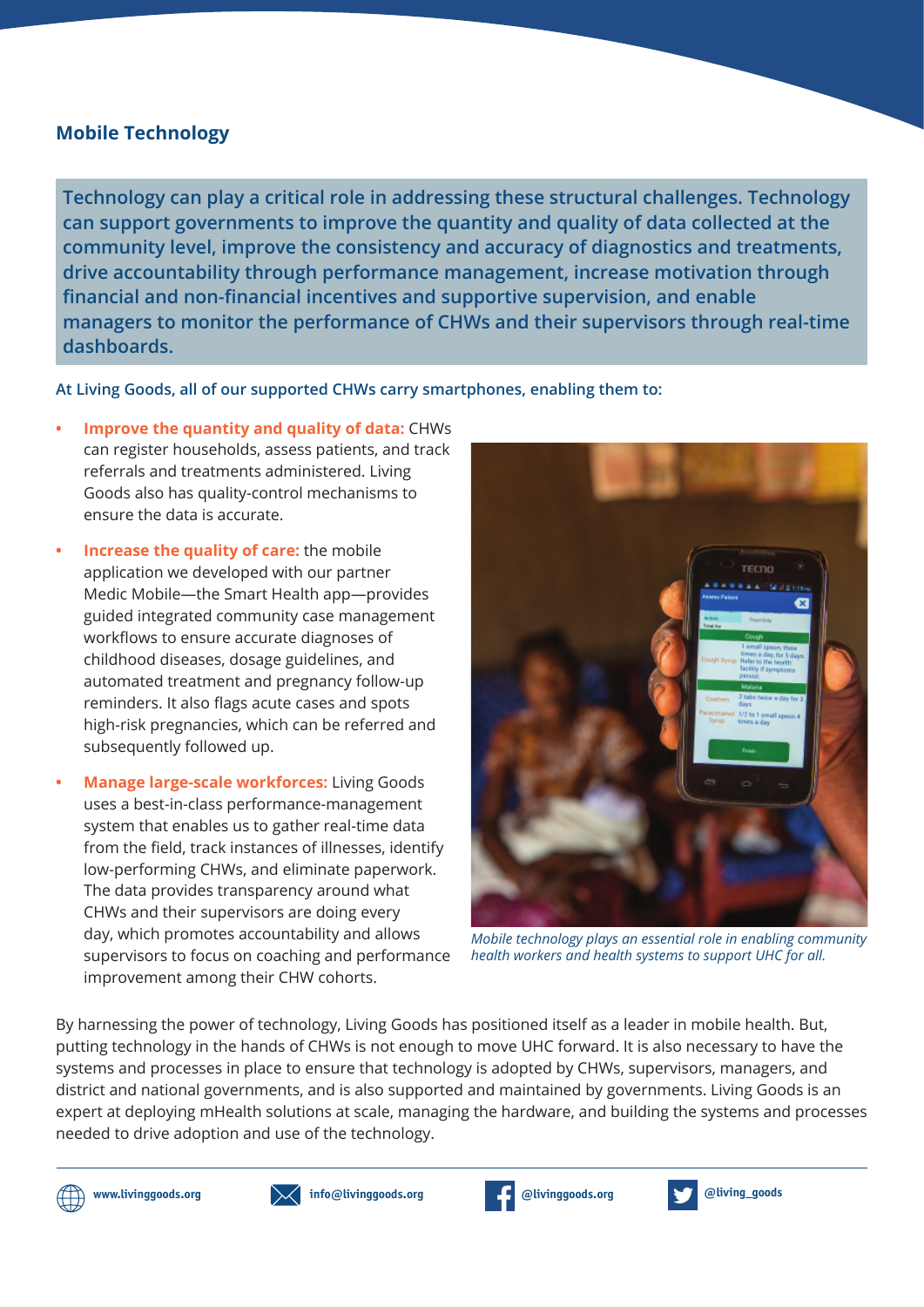### **Mobile Technology**

**Technology can play a critical role in addressing these structural challenges. Technology can support governments to improve the quantity and quality of data collected at the community level, improve the consistency and accuracy of diagnostics and treatments, drive accountability through performance management, increase motivation through financial and non-financial incentives and supportive supervision, and enable managers to monitor the performance of CHWs and their supervisors through real-time dashboards.**

**At Living Goods, all of our supported CHWs carry smartphones, enabling them to:**

- **• Improve the quantity and quality of data:** CHWs can register households, assess patients, and track referrals and treatments administered. Living Goods also has quality-control mechanisms to ensure the data is accurate.
- **• Increase the quality of care:** the mobile application we developed with our partner Medic Mobile—the Smart Health app—provides guided integrated community case management workflows to ensure accurate diagnoses of childhood diseases, dosage guidelines, and automated treatment and pregnancy follow-up reminders. It also flags acute cases and spots high-risk pregnancies, which can be referred and subsequently followed up.
- **• Manage large-scale workforces:** Living Goods uses a best-in-class performance-management system that enables us to gather real-time data from the field, track instances of illnesses, identify low-performing CHWs, and eliminate paperwork. The data provides transparency around what CHWs and their supervisors are doing every day, which promotes accountability and allows supervisors to focus on coaching and performance improvement among their CHW cohorts.



*Mobile technology plays an essential role in enabling community health workers and health systems to support UHC for all.*

By harnessing the power of technology, Living Goods has positioned itself as a leader in mobile health. But, putting technology in the hands of CHWs is not enough to move UHC forward. It is also necessary to have the systems and processes in place to ensure that technology is adopted by CHWs, supervisors, managers, and district and national governments, and is also supported and maintained by governments. Living Goods is an expert at deploying mHealth solutions at scale, managing the hardware, and building the systems and processes needed to drive adoption and use of the technology.